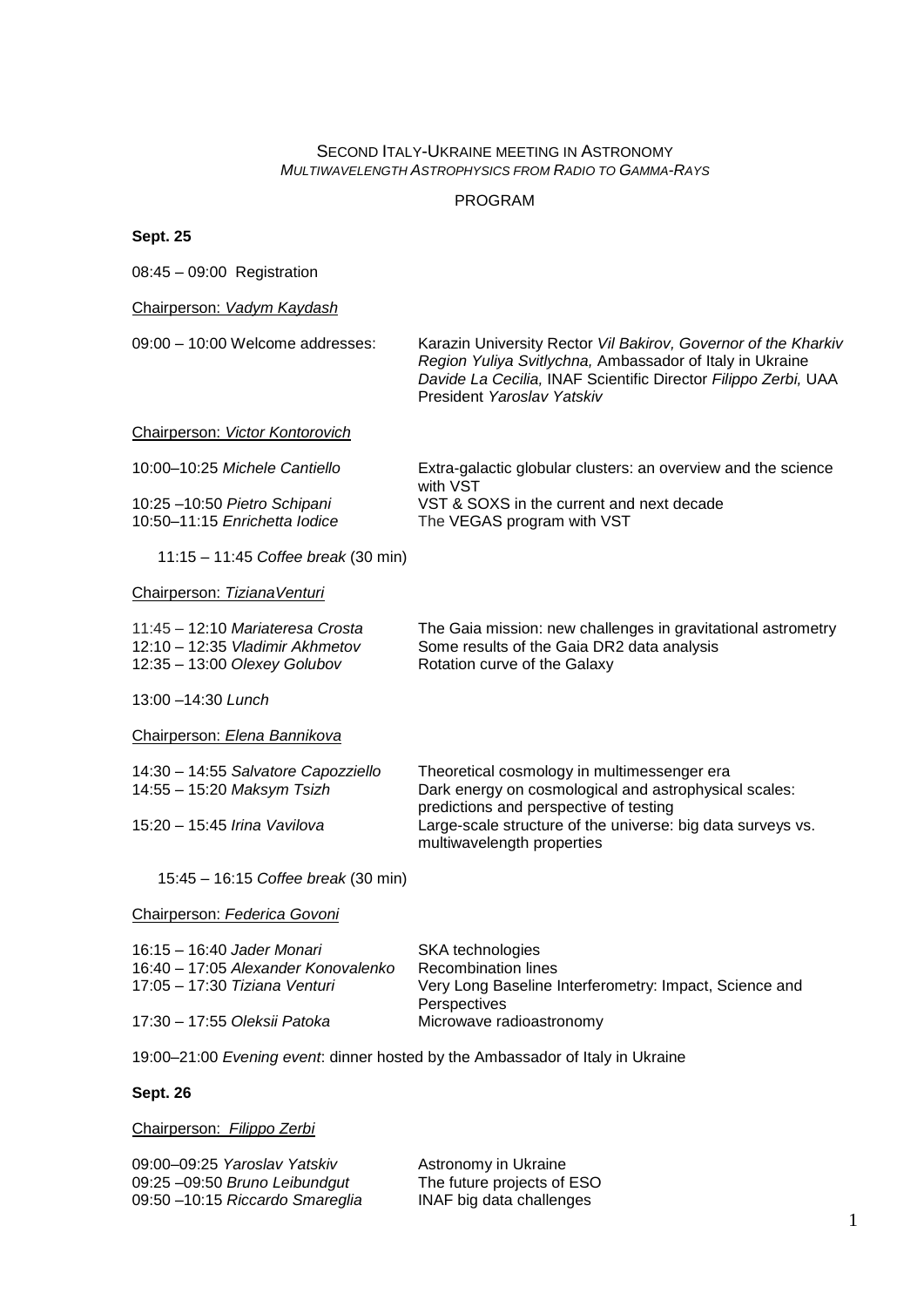## SECOND ITALY-UKRAINE MEETING IN ASTRONOMY *MULTIWAVELENGTH ASTROPHYSICS FROM RADIO TO GAMMA-RAYS*

## PROGRAM

| en | ï |  |
|----|---|--|
|    |   |  |

08:45 – 09:00 Registration

Chairperson: *Vadym Kaydash*

09:00 – 10:00 Welcome addresses: Karazin University Rector *Vil Bakirov, Governor of the Kharkiv Region Yuliya Svitlychna,* Ambassador of Italy in Ukraine *Davide La Cecilia,* INAF Scientific Director *Filippo Zerbi,* UAA President *Yaroslav Yatskiv* Chairperson: *Victor Kontorovich* 10:00–10:25 *Michele Cantiello* Extra-galactic globular clusters: an overview and the science with VST 10:25 –10:50 *Pietro Schipani* VST & SOXS in the current and next decade 10:50–11:15 *Enrichetta Iodice* The VEGAS program with VST

11:15 – 11:45 *Coffee break* (30 min)

#### Chairperson: *TizianaVenturi*

| 11:45 - 12:10 Mariateresa Crosta  | The Gaia mission: new challenges in gravitational astrometry |
|-----------------------------------|--------------------------------------------------------------|
| $12:10 - 12:35$ Vladimir Akhmetov | Some results of the Gaia DR2 data analysis                   |
| 12:35 - 13:00 Olexey Golubov      | Rotation curve of the Galaxy                                 |

13:00 –14:30 *Lunch*

Chairperson: *Elena Bannikova*

14:30 – 14:55 *Salvatore Capozziello* Theoretical cosmology in multimessenger era Dark energy on cosmological and astrophysical scales: predictions and perspective of testing 15:20 – 15:45 *Irina Vavilova* Large-scale structure of the universe: big data surveys vs. multiwavelength properties

#### 15:45 – 16:15 *Coffee break* (30 min)

#### Chairperson: *Federica Govoni*

| 16:15 - 16:40 Jader Monari          | SKA technologies                                       |
|-------------------------------------|--------------------------------------------------------|
| 16:40 – 17:05 Alexander Konovalenko | <b>Recombination lines</b>                             |
| 17:05 – 17:30 Tiziana Venturi       | Very Long Baseline Interferometry: Impact, Science and |
|                                     | Perspectives                                           |
| 17:30 - 17:55 Oleksii Patoka        | Microwave radioastronomy                               |

19:00–21:00 *Evening event*: dinner hosted by the Ambassador of Italy in Ukraine

## **Sept. 26**

## Chairperson: *Filippo Zerbi*

| 09:00-09:25 Yaroslav Yatskiv    | Astronomy in Ukraine       |
|---------------------------------|----------------------------|
| 09:25 -09:50 Bruno Leibundgut   | The future projects of ESO |
| 09:50 -10:15 Riccardo Smareglia | INAF big data challenges   |